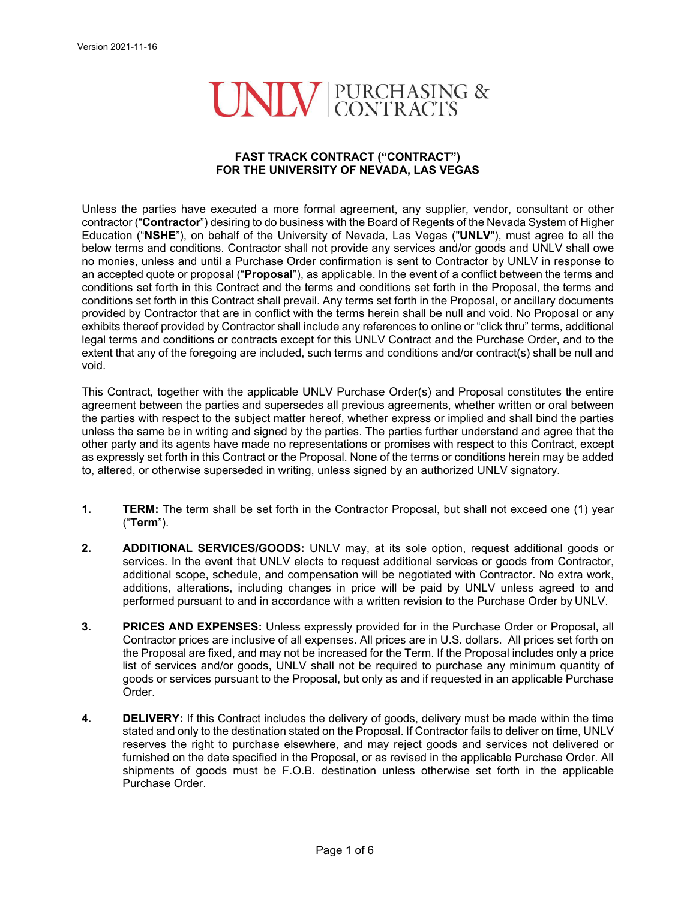## UNIV PURCHASING &

## **FAST TRACK CONTRACT ("CONTRACT") FOR THE UNIVERSITY OF NEVADA, LAS VEGAS**

Unless the parties have executed a more formal agreement, any supplier, vendor, consultant or other contractor ("**Contractor**") desiring to do business with the Board of Regents of the Nevada System of Higher Education ("**NSHE**"), on behalf of the University of Nevada, Las Vegas ("**UNLV**"), must agree to all the below terms and conditions. Contractor shall not provide any services and/or goods and UNLV shall owe no monies, unless and until a Purchase Order confirmation is sent to Contractor by UNLV in response to an accepted quote or proposal ("**Proposal**"), as applicable. In the event of a conflict between the terms and conditions set forth in this Contract and the terms and conditions set forth in the Proposal, the terms and conditions set forth in this Contract shall prevail. Any terms set forth in the Proposal, or ancillary documents provided by Contractor that are in conflict with the terms herein shall be null and void. No Proposal or any exhibits thereof provided by Contractor shall include any references to online or "click thru" terms, additional legal terms and conditions or contracts except for this UNLV Contract and the Purchase Order, and to the extent that any of the foregoing are included, such terms and conditions and/or contract(s) shall be null and void.

This Contract, together with the applicable UNLV Purchase Order(s) and Proposal constitutes the entire agreement between the parties and supersedes all previous agreements, whether written or oral between the parties with respect to the subject matter hereof, whether express or implied and shall bind the parties unless the same be in writing and signed by the parties. The parties further understand and agree that the other party and its agents have made no representations or promises with respect to this Contract, except as expressly set forth in this Contract or the Proposal. None of the terms or conditions herein may be added to, altered, or otherwise superseded in writing, unless signed by an authorized UNLV signatory.

- **1. TERM:** The term shall be set forth in the Contractor Proposal, but shall not exceed one (1) year ("**Term**").
- **2. ADDITIONAL SERVICES/GOODS:** UNLV may, at its sole option, request additional goods or services. In the event that UNLV elects to request additional services or goods from Contractor, additional scope, schedule, and compensation will be negotiated with Contractor. No extra work, additions, alterations, including changes in price will be paid by UNLV unless agreed to and performed pursuant to and in accordance with a written revision to the Purchase Order by UNLV.
- **3. PRICES AND EXPENSES:** Unless expressly provided for in the Purchase Order or Proposal, all Contractor prices are inclusive of all expenses. All prices are in U.S. dollars. All prices set forth on the Proposal are fixed, and may not be increased for the Term. If the Proposal includes only a price list of services and/or goods, UNLV shall not be required to purchase any minimum quantity of goods or services pursuant to the Proposal, but only as and if requested in an applicable Purchase Order.
- **4. DELIVERY:** If this Contract includes the delivery of goods, delivery must be made within the time stated and only to the destination stated on the Proposal. If Contractor fails to deliver on time, UNLV reserves the right to purchase elsewhere, and may reject goods and services not delivered or furnished on the date specified in the Proposal, or as revised in the applicable Purchase Order. All shipments of goods must be F.O.B. destination unless otherwise set forth in the applicable Purchase Order.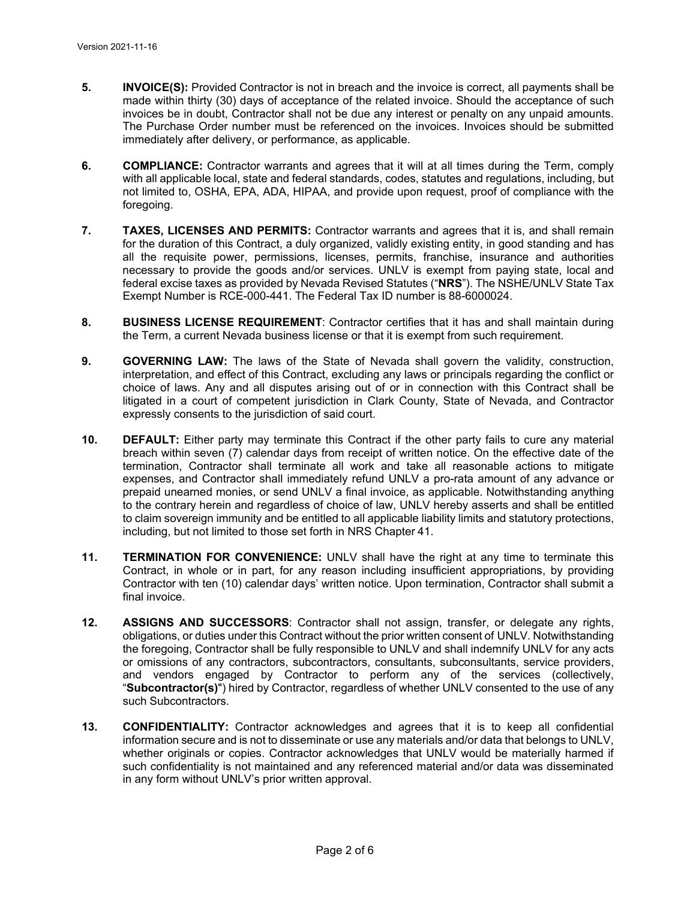- **5. INVOICE(S):** Provided Contractor is not in breach and the invoice is correct, all payments shall be made within thirty (30) days of acceptance of the related invoice. Should the acceptance of such invoices be in doubt, Contractor shall not be due any interest or penalty on any unpaid amounts. The Purchase Order number must be referenced on the invoices. Invoices should be submitted immediately after delivery, or performance, as applicable.
- **6. COMPLIANCE:** Contractor warrants and agrees that it will at all times during the Term, comply with all applicable local, state and federal standards, codes, statutes and regulations, including, but not limited to, OSHA, EPA, ADA, HIPAA, and provide upon request, proof of compliance with the foregoing.
- **7. TAXES, LICENSES AND PERMITS:** Contractor warrants and agrees that it is, and shall remain for the duration of this Contract, a duly organized, validly existing entity, in good standing and has all the requisite power, permissions, licenses, permits, franchise, insurance and authorities necessary to provide the goods and/or services. UNLV is exempt from paying state, local and federal excise taxes as provided by Nevada Revised Statutes ("**NRS**"). The NSHE/UNLV State Tax Exempt Number is RCE-000-441. The Federal Tax ID number is 88-6000024.
- **8. BUSINESS LICENSE REQUIREMENT**: Contractor certifies that it has and shall maintain during the Term, a current Nevada business license or that it is exempt from such requirement.
- **9. GOVERNING LAW:** The laws of the State of Nevada shall govern the validity, construction, interpretation, and effect of this Contract, excluding any laws or principals regarding the conflict or choice of laws. Any and all disputes arising out of or in connection with this Contract shall be litigated in a court of competent jurisdiction in Clark County, State of Nevada, and Contractor expressly consents to the jurisdiction of said court.
- **10. DEFAULT:** Either party may terminate this Contract if the other party fails to cure any material breach within seven (7) calendar days from receipt of written notice. On the effective date of the termination, Contractor shall terminate all work and take all reasonable actions to mitigate expenses, and Contractor shall immediately refund UNLV a pro-rata amount of any advance or prepaid unearned monies, or send UNLV a final invoice, as applicable. Notwithstanding anything to the contrary herein and regardless of choice of law, UNLV hereby asserts and shall be entitled to claim sovereign immunity and be entitled to all applicable liability limits and statutory protections, including, but not limited to those set forth in NRS Chapter 41.
- **11. TERMINATION FOR CONVENIENCE:** UNLV shall have the right at any time to terminate this Contract, in whole or in part, for any reason including insufficient appropriations, by providing Contractor with ten (10) calendar days' written notice. Upon termination, Contractor shall submit a final invoice.
- **12. ASSIGNS AND SUCCESSORS**: Contractor shall not assign, transfer, or delegate any rights, obligations, or duties under this Contract without the prior written consent of UNLV. Notwithstanding the foregoing, Contractor shall be fully responsible to UNLV and shall indemnify UNLV for any acts or omissions of any contractors, subcontractors, consultants, subconsultants, service providers, and vendors engaged by Contractor to perform any of the services (collectively, "**Subcontractor(s)**") hired by Contractor, regardless of whether UNLV consented to the use of any such Subcontractors.
- **13. CONFIDENTIALITY:** Contractor acknowledges and agrees that it is to keep all confidential information secure and is not to disseminate or use any materials and/or data that belongs to UNLV, whether originals or copies. Contractor acknowledges that UNLV would be materially harmed if such confidentiality is not maintained and any referenced material and/or data was disseminated in any form without UNLV's prior written approval.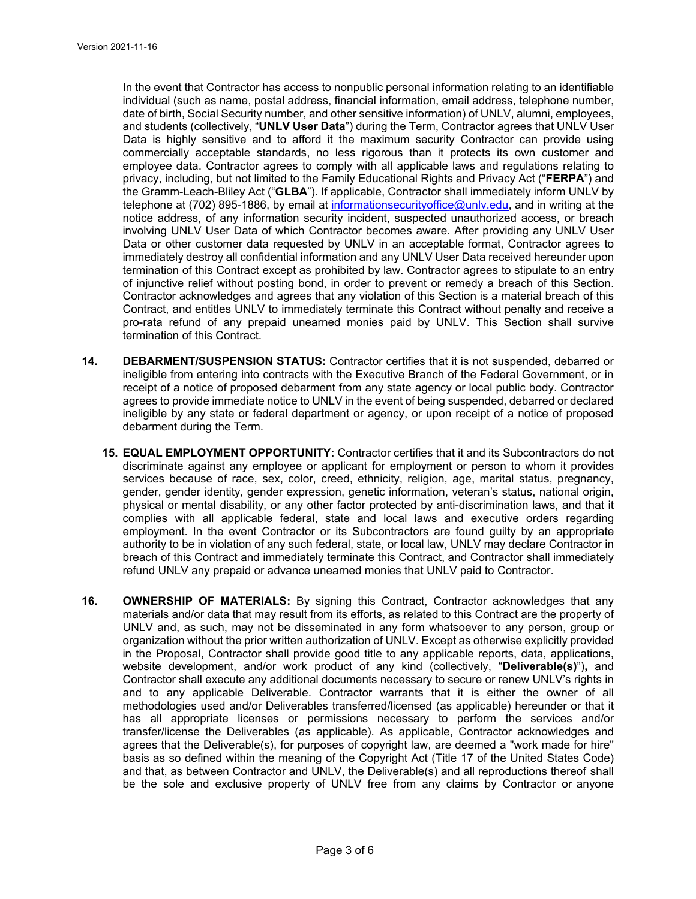In the event that Contractor has access to nonpublic personal information relating to an identifiable individual (such as name, postal address, financial information, email address, telephone number, date of birth, Social Security number, and other sensitive information) of UNLV, alumni, employees, and students (collectively, "**UNLV User Data**") during the Term, Contractor agrees that UNLV User Data is highly sensitive and to afford it the maximum security Contractor can provide using commercially acceptable standards, no less rigorous than it protects its own customer and employee data. Contractor agrees to comply with all applicable laws and regulations relating to privacy, including, but not limited to the Family Educational Rights and Privacy Act ("**FERPA**") and the Gramm-Leach-Bliley Act ("**GLBA**"). If applicable, Contractor shall immediately inform UNLV by telephone at (702) 895-1886, by email at informationsecurityoffice@unly.edu, and in writing at the notice address, of any information security incident, suspected unauthorized access, or breach involving UNLV User Data of which Contractor becomes aware. After providing any UNLV User Data or other customer data requested by UNLV in an acceptable format, Contractor agrees to immediately destroy all confidential information and any UNLV User Data received hereunder upon termination of this Contract except as prohibited by law. Contractor agrees to stipulate to an entry of injunctive relief without posting bond, in order to prevent or remedy a breach of this Section. Contractor acknowledges and agrees that any violation of this Section is a material breach of this Contract, and entitles UNLV to immediately terminate this Contract without penalty and receive a pro-rata refund of any prepaid unearned monies paid by UNLV. This Section shall survive termination of this Contract.

- **14. DEBARMENT/SUSPENSION STATUS:** Contractor certifies that it is not suspended, debarred or ineligible from entering into contracts with the Executive Branch of the Federal Government, or in receipt of a notice of proposed debarment from any state agency or local public body. Contractor agrees to provide immediate notice to UNLV in the event of being suspended, debarred or declared ineligible by any state or federal department or agency, or upon receipt of a notice of proposed debarment during the Term.
	- **15. EQUAL EMPLOYMENT OPPORTUNITY:** Contractor certifies that it and its Subcontractors do not discriminate against any employee or applicant for employment or person to whom it provides services because of race, sex, color, creed, ethnicity, religion, age, marital status, pregnancy, gender, gender identity, gender expression, genetic information, veteran's status, national origin, physical or mental disability, or any other factor protected by anti-discrimination laws, and that it complies with all applicable federal, state and local laws and executive orders regarding employment. In the event Contractor or its Subcontractors are found guilty by an appropriate authority to be in violation of any such federal, state, or local law, UNLV may declare Contractor in breach of this Contract and immediately terminate this Contract, and Contractor shall immediately refund UNLV any prepaid or advance unearned monies that UNLV paid to Contractor.
- **16. OWNERSHIP OF MATERIALS:** By signing this Contract, Contractor acknowledges that any materials and/or data that may result from its efforts, as related to this Contract are the property of UNLV and, as such, may not be disseminated in any form whatsoever to any person, group or organization without the prior written authorization of UNLV. Except as otherwise explicitly provided in the Proposal, Contractor shall provide good title to any applicable reports, data, applications, website development, and/or work product of any kind (collectively, "**Deliverable(s)**")**,** and Contractor shall execute any additional documents necessary to secure or renew UNLV's rights in and to any applicable Deliverable. Contractor warrants that it is either the owner of all methodologies used and/or Deliverables transferred/licensed (as applicable) hereunder or that it has all appropriate licenses or permissions necessary to perform the services and/or transfer/license the Deliverables (as applicable). As applicable, Contractor acknowledges and agrees that the Deliverable(s), for purposes of copyright law, are deemed a "work made for hire" basis as so defined within the meaning of the Copyright Act (Title 17 of the United States Code) and that, as between Contractor and UNLV, the Deliverable(s) and all reproductions thereof shall be the sole and exclusive property of UNLV free from any claims by Contractor or anyone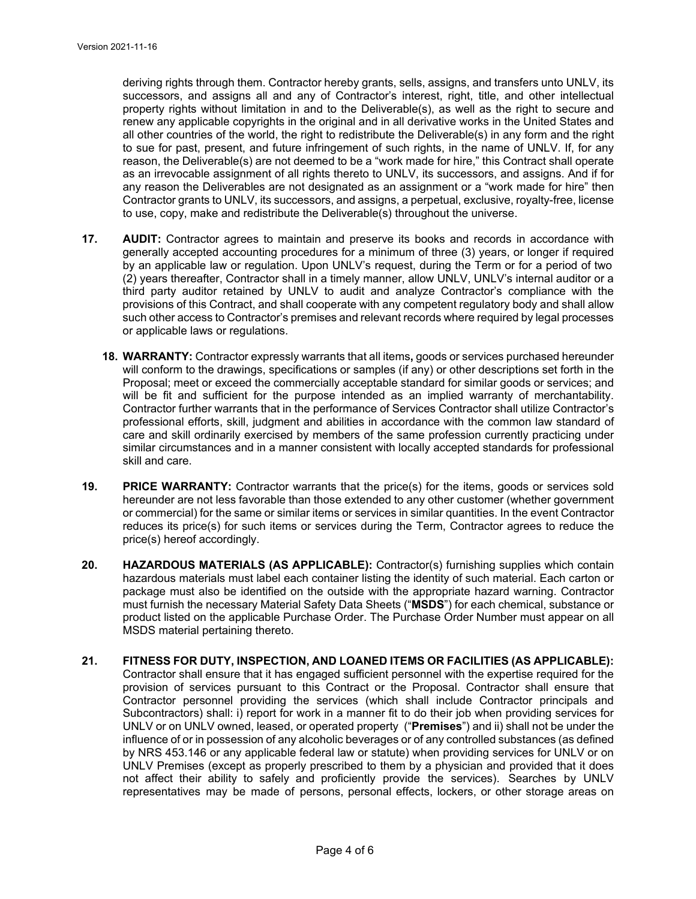deriving rights through them. Contractor hereby grants, sells, assigns, and transfers unto UNLV, its successors, and assigns all and any of Contractor's interest, right, title, and other intellectual property rights without limitation in and to the Deliverable(s), as well as the right to secure and renew any applicable copyrights in the original and in all derivative works in the United States and all other countries of the world, the right to redistribute the Deliverable(s) in any form and the right to sue for past, present, and future infringement of such rights, in the name of UNLV. If, for any reason, the Deliverable(s) are not deemed to be a "work made for hire," this Contract shall operate as an irrevocable assignment of all rights thereto to UNLV, its successors, and assigns. And if for any reason the Deliverables are not designated as an assignment or a "work made for hire" then Contractor grants to UNLV, its successors, and assigns, a perpetual, exclusive, royalty-free, license to use, copy, make and redistribute the Deliverable(s) throughout the universe.

- **17. AUDIT:** Contractor agrees to maintain and preserve its books and records in accordance with generally accepted accounting procedures for a minimum of three (3) years, or longer if required by an applicable law or regulation. Upon UNLV's request, during the Term or for a period of two (2) years thereafter, Contractor shall in a timely manner, allow UNLV, UNLV's internal auditor or a third party auditor retained by UNLV to audit and analyze Contractor's compliance with the provisions of this Contract, and shall cooperate with any competent regulatory body and shall allow such other access to Contractor's premises and relevant records where required by legal processes or applicable laws or regulations.
	- **18. WARRANTY:** Contractor expressly warrants that all items**,** goods or services purchased hereunder will conform to the drawings, specifications or samples (if any) or other descriptions set forth in the Proposal; meet or exceed the commercially acceptable standard for similar goods or services; and will be fit and sufficient for the purpose intended as an implied warranty of merchantability. Contractor further warrants that in the performance of Services Contractor shall utilize Contractor's professional efforts, skill, judgment and abilities in accordance with the common law standard of care and skill ordinarily exercised by members of the same profession currently practicing under similar circumstances and in a manner consistent with locally accepted standards for professional skill and care.
- **19. PRICE WARRANTY:** Contractor warrants that the price(s) for the items, goods or services sold hereunder are not less favorable than those extended to any other customer (whether government or commercial) for the same or similar items or services in similar quantities. In the event Contractor reduces its price(s) for such items or services during the Term, Contractor agrees to reduce the price(s) hereof accordingly.
- **20. HAZARDOUS MATERIALS (AS APPLICABLE):** Contractor(s) furnishing supplies which contain hazardous materials must label each container listing the identity of such material. Each carton or package must also be identified on the outside with the appropriate hazard warning. Contractor must furnish the necessary Material Safety Data Sheets ("**MSDS**") for each chemical, substance or product listed on the applicable Purchase Order. The Purchase Order Number must appear on all MSDS material pertaining thereto.
- **21. FITNESS FOR DUTY, INSPECTION, AND LOANED ITEMS OR FACILITIES (AS APPLICABLE):**  Contractor shall ensure that it has engaged sufficient personnel with the expertise required for the provision of services pursuant to this Contract or the Proposal. Contractor shall ensure that Contractor personnel providing the services (which shall include Contractor principals and Subcontractors) shall: i) report for work in a manner fit to do their job when providing services for UNLV or on UNLV owned, leased, or operated property ("**Premises**") and ii) shall not be under the influence of or in possession of any alcoholic beverages or of any controlled substances (as defined by NRS 453.146 or any applicable federal law or statute) when providing services for UNLV or on UNLV Premises (except as properly prescribed to them by a physician and provided that it does not affect their ability to safely and proficiently provide the services). Searches by UNLV representatives may be made of persons, personal effects, lockers, or other storage areas on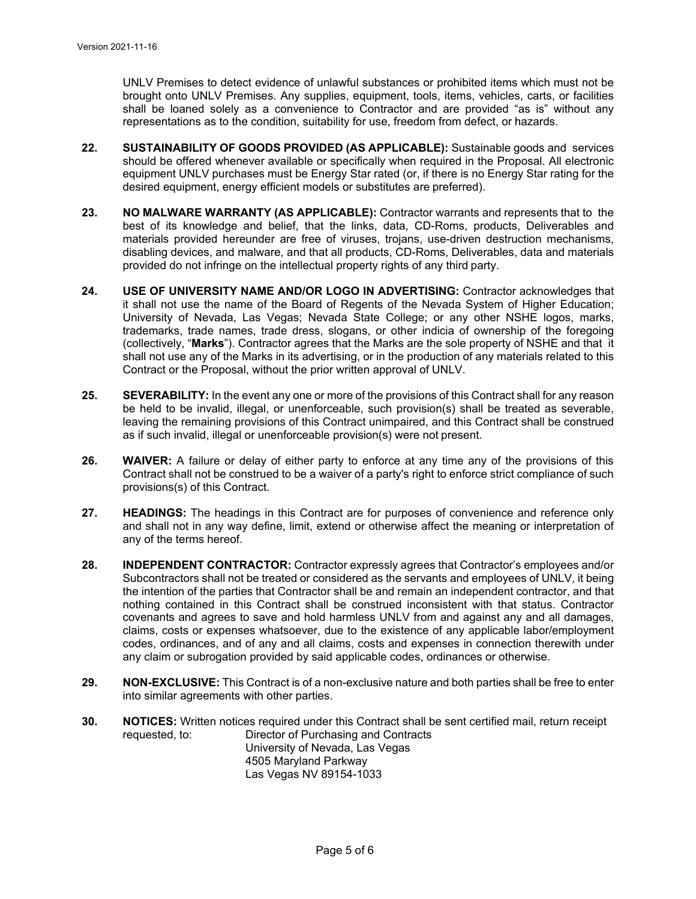UNLV Premises to detect evidence of unlawful substances or prohibited items which must not be brought onto UNLV Premises. Any supplies, equipment, tools, items, vehicles, carts, or facilities shall be loaned solely as a convenience to Contractor and are provided "as is" without any representations as to the condition, suitability for use, freedom from defect, or hazards.

- **22. SUSTAINABILITY OF GOODS PROVIDED (AS APPLICABLE):** Sustainable goods and services should be offered whenever available or specifically when required in the Proposal. All electronic equipment UNLV purchases must be Energy Star rated (or, if there is no Energy Star rating for the desired equipment, energy efficient models or substitutes are preferred).
- **23. NO MALWARE WARRANTY (AS APPLICABLE):** Contractor warrants and represents that to the best of its knowledge and belief, that the links, data, CD-Roms, products, Deliverables and materials provided hereunder are free of viruses, trojans, use-driven destruction mechanisms, disabling devices, and malware, and that all products, CD-Roms, Deliverables, data and materials provided do not infringe on the intellectual property rights of any third party.
- **24. USE OF UNIVERSITY NAME AND/OR LOGO IN ADVERTISING:** Contractor acknowledges that it shall not use the name of the Board of Regents of the Nevada System of Higher Education; University of Nevada, Las Vegas; Nevada State College; or any other NSHE logos, marks, trademarks, trade names, trade dress, slogans, or other indicia of ownership of the foregoing (collectively, "**Marks**"). Contractor agrees that the Marks are the sole property of NSHE and that it shall not use any of the Marks in its advertising, or in the production of any materials related to this Contract or the Proposal, without the prior written approval of UNLV.
- **25. SEVERABILITY:** In the event any one or more of the provisions of this Contract shall for any reason be held to be invalid, illegal, or unenforceable, such provision(s) shall be treated as severable, leaving the remaining provisions of this Contract unimpaired, and this Contract shall be construed as if such invalid, illegal or unenforceable provision(s) were not present.
- **26. WAIVER:** A failure or delay of either party to enforce at any time any of the provisions of this Contract shall not be construed to be a waiver of a party's right to enforce strict compliance of such provisions(s) of this Contract.
- **27. HEADINGS:** The headings in this Contract are for purposes of convenience and reference only and shall not in any way define, limit, extend or otherwise affect the meaning or interpretation of any of the terms hereof.
- **28. INDEPENDENT CONTRACTOR:** Contractor expressly agrees that Contractor's employees and/or Subcontractors shall not be treated or considered as the servants and employees of UNLV, it being the intention of the parties that Contractor shall be and remain an independent contractor, and that nothing contained in this Contract shall be construed inconsistent with that status. Contractor covenants and agrees to save and hold harmless UNLV from and against any and all damages, claims, costs or expenses whatsoever, due to the existence of any applicable labor/employment codes, ordinances, and of any and all claims, costs and expenses in connection therewith under any claim or subrogation provided by said applicable codes, ordinances or otherwise.
- **29. NON-EXCLUSIVE:** This Contract is of a non-exclusive nature and both parties shall be free to enter into similar agreements with other parties.
- **30. NOTICES:** Written notices required under this Contract shall be sent certified mail, return receipt requested, to: Director of Purchasing and Contracts University of Nevada, Las Vegas 4505 Maryland Parkway Las Vegas NV 89154-1033